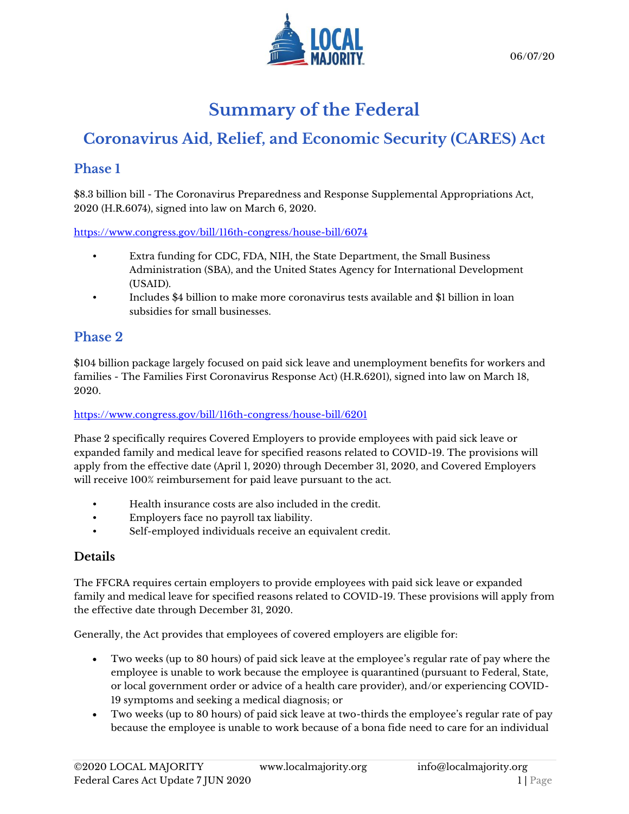

# **Summary of the Federal**

# **Coronavirus Aid, Relief, and Economic Security (CARES) Act**

# **Phase 1**

\$8.3 billion bill - The Coronavirus Preparedness and Response Supplemental Appropriations Act, 2020 (H.R.6074), signed into law on March 6, 2020.

<https://www.congress.gov/bill/116th-congress/house-bill/6074>

- Extra funding for CDC, FDA, NIH, the State Department, the Small Business Administration (SBA), and the United States Agency for International Development (USAID).
- Includes \$4 billion to make more coronavirus tests available and \$1 billion in loan subsidies for small businesses.

# **Phase 2**

\$104 billion package largely focused on paid sick leave and unemployment benefits for workers and families - The Families First Coronavirus Response Act) (H.R.6201), signed into law on March 18, 2020.

### <https://www.congress.gov/bill/116th-congress/house-bill/6201>

Phase 2 specifically requires Covered Employers to provide employees with paid sick leave or expanded family and medical leave for specified reasons related to COVID-19. The provisions will apply from the effective date (April 1, 2020) through December 31, 2020, and Covered Employers will receive 100% reimbursement for paid leave pursuant to the act.

- Health insurance costs are also included in the credit.
- Employers face no payroll tax liability.
- Self-employed individuals receive an equivalent credit.

## **Details**

The FFCRA requires certain employers to provide employees with paid sick leave or expanded family and medical leave for specified reasons related to COVID-19. These provisions will apply from the effective date through December 31, 2020.

Generally, the Act provides that employees of covered employers are eligible for:

- Two weeks (up to 80 hours) of paid sick leave at the employee's regular rate of pay where the employee is unable to work because the employee is quarantined (pursuant to Federal, State, or local government order or advice of a health care provider), and/or experiencing COVID-19 symptoms and seeking a medical diagnosis; or
- Two weeks (up to 80 hours) of paid sick leave at two-thirds the employee's regular rate of pay because the employee is unable to work because of a bona fide need to care for an individual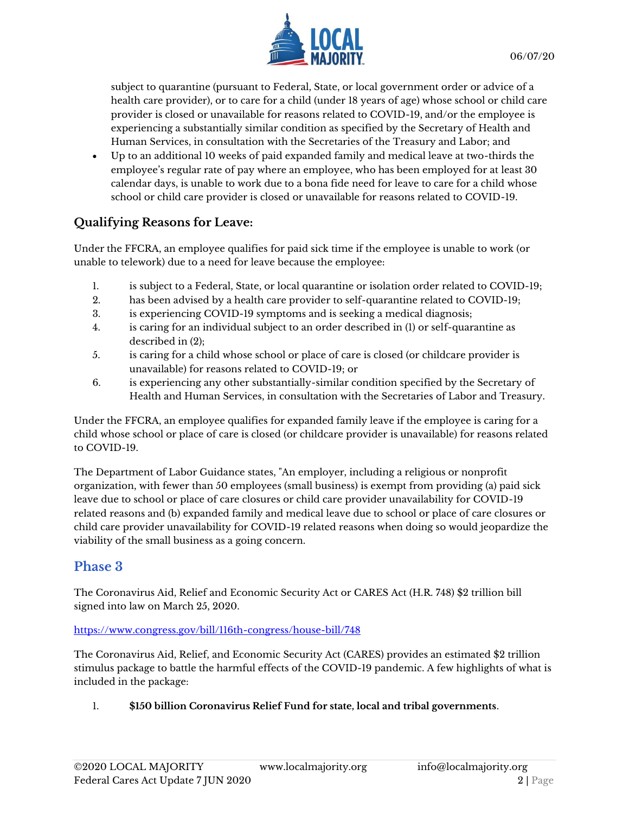

subject to quarantine (pursuant to Federal, State, or local government order or advice of a health care provider), or to care for a child (under 18 years of age) whose school or child care provider is closed or unavailable for reasons related to COVID-19, and/or the employee is experiencing a substantially similar condition as specified by the Secretary of Health and Human Services, in consultation with the Secretaries of the Treasury and Labor; and

 Up to an additional 10 weeks of paid expanded family and medical leave at two-thirds the employee's regular rate of pay where an employee, who has been employed for at least 30 calendar days, is unable to work due to a bona fide need for leave to care for a child whose school or child care provider is closed or unavailable for reasons related to COVID-19.

# **Qualifying Reasons for Leave:**

Under the FFCRA, an employee qualifies for paid sick time if the employee is unable to work (or unable to telework) due to a need for leave because the employee:

- 1. is subject to a Federal, State, or local quarantine or isolation order related to COVID-19;
- 2. has been advised by a health care provider to self-quarantine related to COVID-19;
- 3. is experiencing COVID-19 symptoms and is seeking a medical diagnosis;
- 4. is caring for an individual subject to an order described in (1) or self-quarantine as described in (2);
- 5. is caring for a child whose school or place of care is closed (or childcare provider is unavailable) for reasons related to COVID-19; or
- 6. is experiencing any other substantially-similar condition specified by the Secretary of Health and Human Services, in consultation with the Secretaries of Labor and Treasury.

Under the FFCRA, an employee qualifies for expanded family leave if the employee is caring for a child whose school or place of care is closed (or childcare provider is unavailable) for reasons related to COVID-19.

The Department of Labor Guidance states, "An employer, including a religious or nonprofit organization, with fewer than 50 employees (small business) is exempt from providing (a) paid sick leave due to school or place of care closures or child care provider unavailability for COVID-19 related reasons and (b) expanded family and medical leave due to school or place of care closures or child care provider unavailability for COVID-19 related reasons when doing so would jeopardize the viability of the small business as a going concern.

# **Phase 3**

The Coronavirus Aid, Relief and Economic Security Act or CARES Act (H.R. 748) \$2 trillion bill signed into law on March 25, 2020.

### <https://www.congress.gov/bill/116th-congress/house-bill/748>

The Coronavirus Aid, Relief, and Economic Security Act (CARES) provides an estimated \$2 trillion stimulus package to battle the harmful effects of the COVID-19 pandemic. A few highlights of what is included in the package:

## 1. **\$150 billion Coronavirus Relief Fund for state, local and tribal governments**.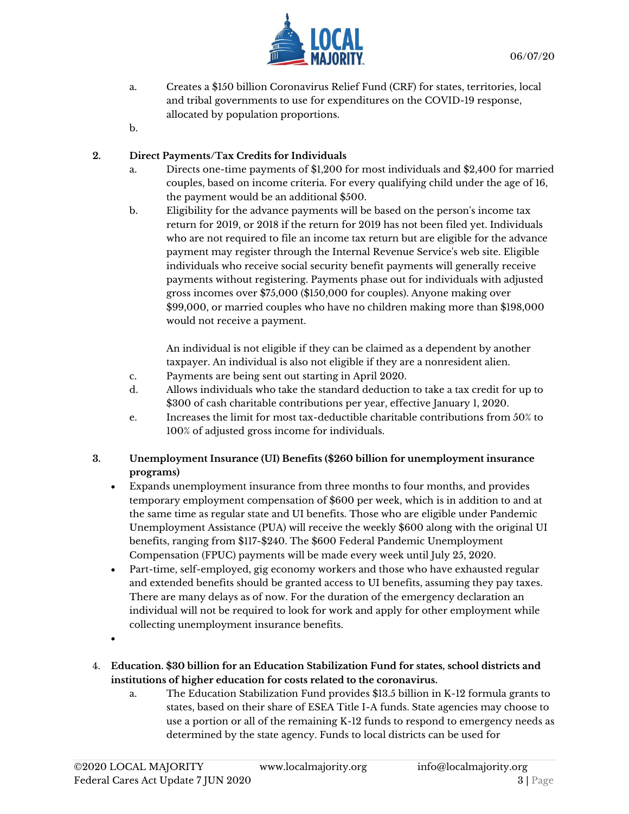

- a. Creates a \$150 billion Coronavirus Relief Fund (CRF) for states, territories, local and tribal governments to use for expenditures on the COVID-19 response, allocated by population proportions.
- b.

## **2. Direct Payments/Tax Credits for Individuals**

- a. Directs one-time payments of \$1,200 for most individuals and \$2,400 for married couples, based on income criteria. For every qualifying child under the age of 16, the payment would be an additional \$500.
- b. Eligibility for the advance payments will be based on the person's income tax return for 2019, or 2018 if the return for 2019 has not been filed yet. Individuals who are not required to file an income tax return but are eligible for the advance payment may register through the Internal Revenue Service's web site. Eligible individuals who receive social security benefit payments will generally receive payments without registering. Payments phase out for individuals with adjusted gross incomes over \$75,000 (\$150,000 for couples). Anyone making over \$99,000, or married couples who have no children making more than \$198,000 would not receive a payment.

An individual is not eligible if they can be claimed as a dependent by another taxpayer. An individual is also not eligible if they are a nonresident alien.

- c. Payments are being sent out starting in April 2020.
- d. Allows individuals who take the standard deduction to take a tax credit for up to \$300 of cash charitable contributions per year, effective January 1, 2020.
- e. Increases the limit for most tax-deductible charitable contributions from 50% to 100% of adjusted gross income for individuals.
- **3. Unemployment Insurance (UI) Benefits (\$260 billion for unemployment insurance programs)** 
	- Expands unemployment insurance from three months to four months, and provides temporary employment compensation of \$600 per week, which is in addition to and at the same time as regular state and UI benefits. Those who are eligible under Pandemic Unemployment Assistance (PUA) will receive the weekly \$600 along with the original UI benefits, ranging from \$117-\$240. The \$600 Federal Pandemic Unemployment Compensation (FPUC) payments will be made every week until July 25, 2020.
	- Part-time, self-employed, gig economy workers and those who have exhausted regular and extended benefits should be granted access to UI benefits, assuming they pay taxes. There are many delays as of now. For the duration of the emergency declaration an individual will not be required to look for work and apply for other employment while collecting unemployment insurance benefits.
	- $\bullet$
- 4. **Education. \$30 billion for an Education Stabilization Fund for states, school districts and institutions of higher education for costs related to the coronavirus.**
	- a. The Education Stabilization Fund provides \$13.5 billion in K-12 formula grants to states, based on their share of ESEA Title I-A funds. State agencies may choose to use a portion or all of the remaining K-12 funds to respond to emergency needs as determined by the state agency. Funds to local districts can be used for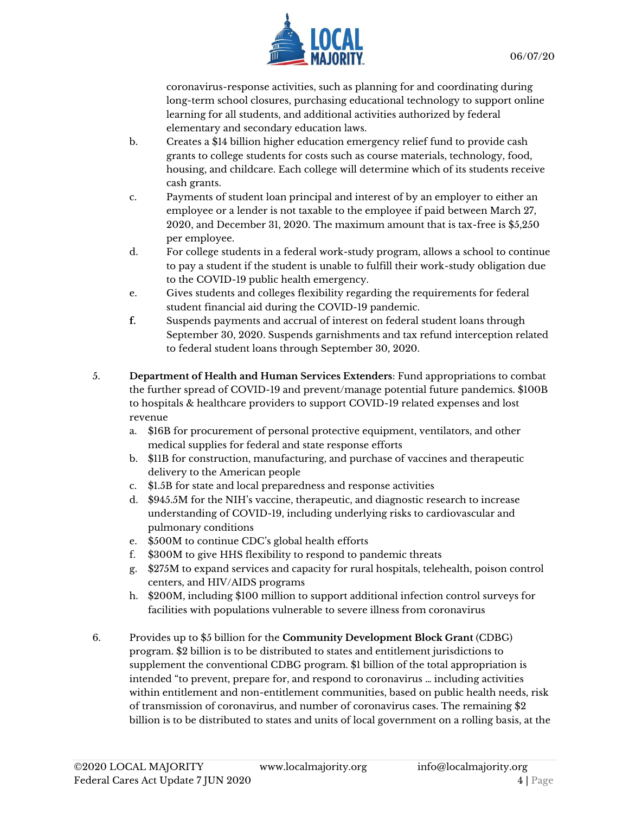

coronavirus-response activities, such as planning for and coordinating during long-term school closures, purchasing educational technology to support online learning for all students, and additional activities authorized by federal elementary and secondary education laws.

- b. Creates a \$14 billion higher education emergency relief fund to provide cash grants to college students for costs such as course materials, technology, food, housing, and childcare. Each college will determine which of its students receive cash grants.
- c. Payments of student loan principal and interest of by an employer to either an employee or a lender is not taxable to the employee if paid between March 27, 2020, and December 31, 2020. The maximum amount that is tax-free is \$5,250 per employee.
- d. For college students in a federal work-study program, allows a school to continue to pay a student if the student is unable to fulfill their work-study obligation due to the COVID-19 public health emergency.
- e. Gives students and colleges flexibility regarding the requirements for federal student financial aid during the COVID-19 pandemic.
- **f.** Suspends payments and accrual of interest on federal student loans through September 30, 2020. Suspends garnishments and tax refund interception related to federal student loans through September 30, 2020.
- 5. **Department of Health and Human Services Extenders**: Fund appropriations to combat the further spread of COVID-19 and prevent/manage potential future pandemics. \$100B to hospitals & healthcare providers to support COVID-19 related expenses and lost revenue
	- a. \$16B for procurement of personal protective equipment, ventilators, and other medical supplies for federal and state response efforts
	- b. \$11B for construction, manufacturing, and purchase of vaccines and therapeutic delivery to the American people
	- c. \$1.5B for state and local preparedness and response activities
	- d. \$945.5M for the NIH's vaccine, therapeutic, and diagnostic research to increase understanding of COVID-19, including underlying risks to cardiovascular and pulmonary conditions
	- e. \$500M to continue CDC's global health efforts
	- f. \$300M to give HHS flexibility to respond to pandemic threats
	- g. \$275M to expand services and capacity for rural hospitals, telehealth, poison control centers, and HIV/AIDS programs
	- h. \$200M, including \$100 million to support additional infection control surveys for facilities with populations vulnerable to severe illness from coronavirus
- 6. Provides up to \$5 billion for the **Community Development Block Grant** (CDBG) program. \$2 billion is to be distributed to states and entitlement jurisdictions to supplement the conventional CDBG program. \$1 billion of the total appropriation is intended "to prevent, prepare for, and respond to coronavirus … including activities within entitlement and non-entitlement communities, based on public health needs, risk of transmission of coronavirus, and number of coronavirus cases. The remaining \$2 billion is to be distributed to states and units of local government on a rolling basis, at the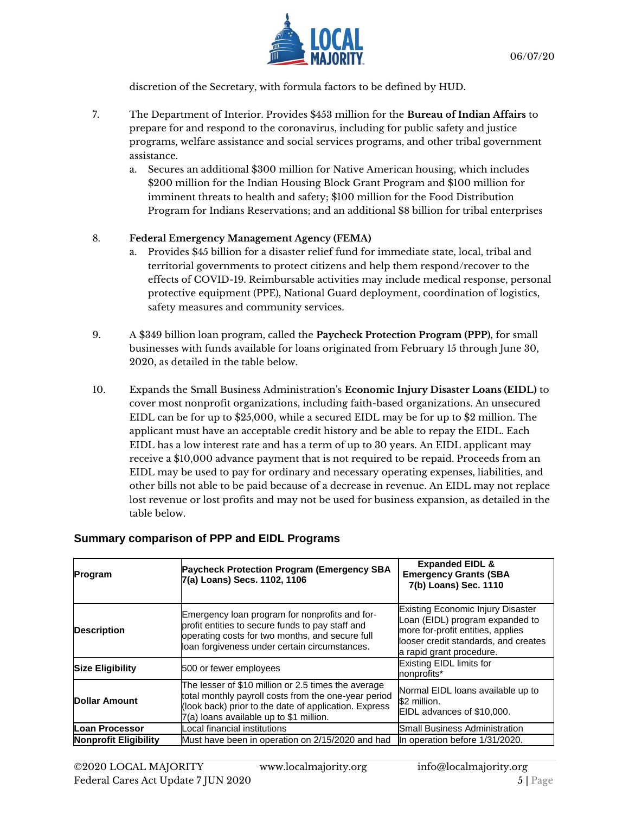

discretion of the Secretary, with formula factors to be defined by HUD.

- 7. The Department of Interior. Provides \$453 million for the **Bureau of Indian Affairs** to prepare for and respond to the coronavirus, including for public safety and justice programs, welfare assistance and social services programs, and other tribal government assistance.
	- a. Secures an additional \$300 million for Native American housing, which includes \$200 million for the Indian Housing Block Grant Program and \$100 million for imminent threats to health and safety; \$100 million for the Food Distribution Program for Indians Reservations; and an additional \$8 billion for tribal enterprises

### 8. **Federal Emergency Management Agency (FEMA)**

- a. Provides \$45 billion for a disaster relief fund for immediate state, local, tribal and territorial governments to protect citizens and help them respond/recover to the effects of COVID-19. Reimbursable activities may include medical response, personal protective equipment (PPE), National Guard deployment, coordination of logistics, safety measures and community services.
- 9. A \$349 billion loan program, called the **Paycheck Protection Program (PPP),** for small businesses with funds available for loans originated from February 15 through June 30, 2020, as detailed in the table below.
- 10. Expands the Small Business Administration's **Economic Injury Disaster Loans (EIDL)** to cover most nonprofit organizations, including faith-based organizations. An unsecured EIDL can be for up to \$25,000, while a secured EIDL may be for up to \$2 million. The applicant must have an acceptable credit history and be able to repay the EIDL. Each EIDL has a low interest rate and has a term of up to 30 years. An EIDL applicant may receive a \$10,000 advance payment that is not required to be repaid. Proceeds from an EIDL may be used to pay for ordinary and necessary operating expenses, liabilities, and other bills not able to be paid because of a decrease in revenue. An EIDL may not replace lost revenue or lost profits and may not be used for business expansion, as detailed in the table below.

### **Summary comparison of PPP and EIDL Programs**

| Program                 | <b>Paycheck Protection Program (Emergency SBA</b><br>7(a) Loans) Secs. 1102, 1106                                                                                                                               | <b>Expanded EIDL &amp;</b><br><b>Emergency Grants (SBA</b><br>7(b) Loans) Sec. 1110                                                                                           |
|-------------------------|-----------------------------------------------------------------------------------------------------------------------------------------------------------------------------------------------------------------|-------------------------------------------------------------------------------------------------------------------------------------------------------------------------------|
| <b>Description</b>      | Emergency loan program for nonprofits and for-<br>profit entities to secure funds to pay staff and<br>operating costs for two months, and secure full<br>loan forgiveness under certain circumstances.          | Existing Economic Injury Disaster<br>Loan (EIDL) program expanded to<br>more for-profit entities, applies<br>looser credit standards, and creates<br>a rapid grant procedure. |
| <b>Size Eligibility</b> | 500 or fewer employees                                                                                                                                                                                          | Existing EIDL limits for<br>nonprofits*                                                                                                                                       |
| Dollar Amount           | The lesser of \$10 million or 2.5 times the average<br>total monthly payroll costs from the one-year period<br>(look back) prior to the date of application. Express<br>7(a) loans available up to \$1 million. | Normal EIDL loans available up to<br>\$2 million.<br><b>IEIDL</b> advances of \$10,000.                                                                                       |
| Loan Processor          | ocal financial institutions                                                                                                                                                                                     | <b>Small Business Administration</b>                                                                                                                                          |
| Nonprofit Eligibility   | Must have been in operation on 2/15/2020 and had                                                                                                                                                                | In operation before 1/31/2020.                                                                                                                                                |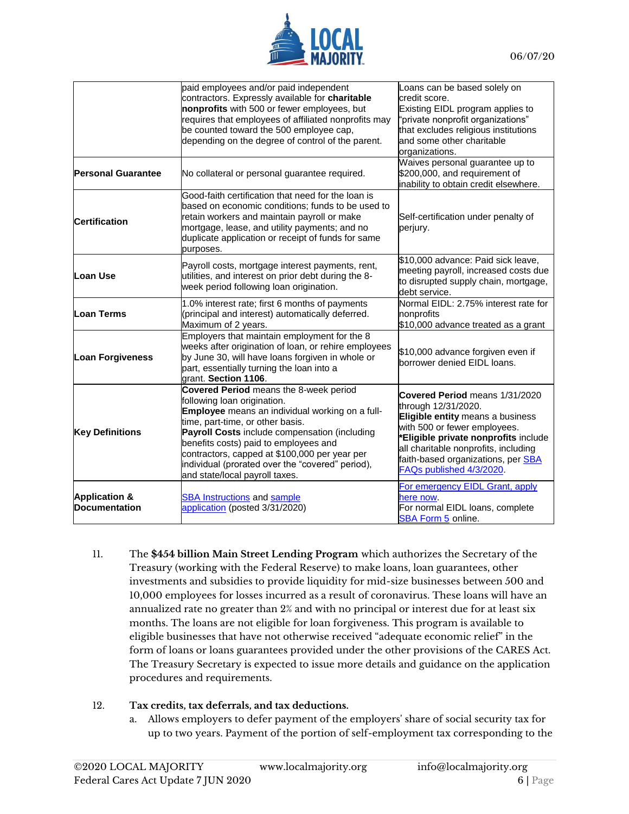

|                                                  | paid employees and/or paid independent<br>contractors. Expressly available for charitable<br>nonprofits with 500 or fewer employees, but<br>requires that employees of affiliated nonprofits may<br>be counted toward the 500 employee cap,<br>depending on the degree of control of the parent.                                                                                              | Loans can be based solely on<br>credit score.<br>Existing EIDL program applies to<br>"private nonprofit organizations"<br>that excludes religious institutions<br>and some other charitable<br>organizations.                                                                      |
|--------------------------------------------------|-----------------------------------------------------------------------------------------------------------------------------------------------------------------------------------------------------------------------------------------------------------------------------------------------------------------------------------------------------------------------------------------------|------------------------------------------------------------------------------------------------------------------------------------------------------------------------------------------------------------------------------------------------------------------------------------|
| <b>Personal Guarantee</b>                        | No collateral or personal guarantee required.                                                                                                                                                                                                                                                                                                                                                 | Waives personal guarantee up to<br>\$200,000, and requirement of<br>inability to obtain credit elsewhere.                                                                                                                                                                          |
| <b>Certification</b>                             | Good-faith certification that need for the loan is<br>based on economic conditions; funds to be used to<br>retain workers and maintain payroll or make<br>mortgage, lease, and utility payments; and no<br>duplicate application or receipt of funds for same<br>purposes.                                                                                                                    | Self-certification under penalty of<br>perjury.                                                                                                                                                                                                                                    |
| Loan Use                                         | Payroll costs, mortgage interest payments, rent,<br>utilities, and interest on prior debt during the 8-<br>week period following loan origination.                                                                                                                                                                                                                                            | \$10,000 advance: Paid sick leave,<br>meeting payroll, increased costs due<br>to disrupted supply chain, mortgage,<br>debt service.                                                                                                                                                |
| Loan Terms                                       | 1.0% interest rate; first 6 months of payments<br>(principal and interest) automatically deferred.<br>Maximum of 2 years.                                                                                                                                                                                                                                                                     | Normal EIDL: 2.75% interest rate for<br>nonprofits<br>\$10,000 advance treated as a grant                                                                                                                                                                                          |
| <b>Loan Forgiveness</b>                          | Employers that maintain employment for the 8<br>weeks after origination of loan, or rehire employees<br>by June 30, will have loans forgiven in whole or<br>part, essentially turning the loan into a<br>grant. Section 1106.                                                                                                                                                                 | \$10,000 advance forgiven even if<br>borrower denied EIDL loans.                                                                                                                                                                                                                   |
| <b>Key Definitions</b>                           | Covered Period means the 8-week period<br>following loan origination.<br>Employee means an individual working on a full-<br>time, part-time, or other basis.<br>Payroll Costs include compensation (including<br>benefits costs) paid to employees and<br>contractors, capped at \$100,000 per year per<br>individual (prorated over the "covered" period),<br>and state/local payroll taxes. | Covered Period means 1/31/2020<br>through 12/31/2020.<br>Eligible entity means a business<br>with 500 or fewer employees.<br>*Eligible private nonprofits include<br>all charitable nonprofits, including<br>faith-based organizations, per <b>SBA</b><br>FAQs published 4/3/2020. |
| <b>Application &amp;</b><br><b>Documentation</b> | <b>SBA Instructions and sample</b><br>application (posted 3/31/2020)                                                                                                                                                                                                                                                                                                                          | For emergency EIDL Grant, apply<br>here now.<br>For normal EIDL loans, complete<br><b>SBA Form 5 online.</b>                                                                                                                                                                       |

11. The **\$454 billion Main Street Lending Program** which authorizes the Secretary of the Treasury (working with the Federal Reserve) to make loans, loan guarantees, other investments and subsidies to provide liquidity for mid-size businesses between 500 and 10,000 employees for losses incurred as a result of coronavirus. These loans will have an annualized rate no greater than 2% and with no principal or interest due for at least six months. The loans are not eligible for loan forgiveness. This program is available to eligible businesses that have not otherwise received "adequate economic relief" in the form of loans or loans guarantees provided under the other provisions of the CARES Act. The Treasury Secretary is expected to issue more details and guidance on the application procedures and requirements.

#### 12. **Tax credits, tax deferrals, and tax deductions.**

a. Allows employers to defer payment of the employers' share of social security tax for up to two years. Payment of the portion of self-employment tax corresponding to the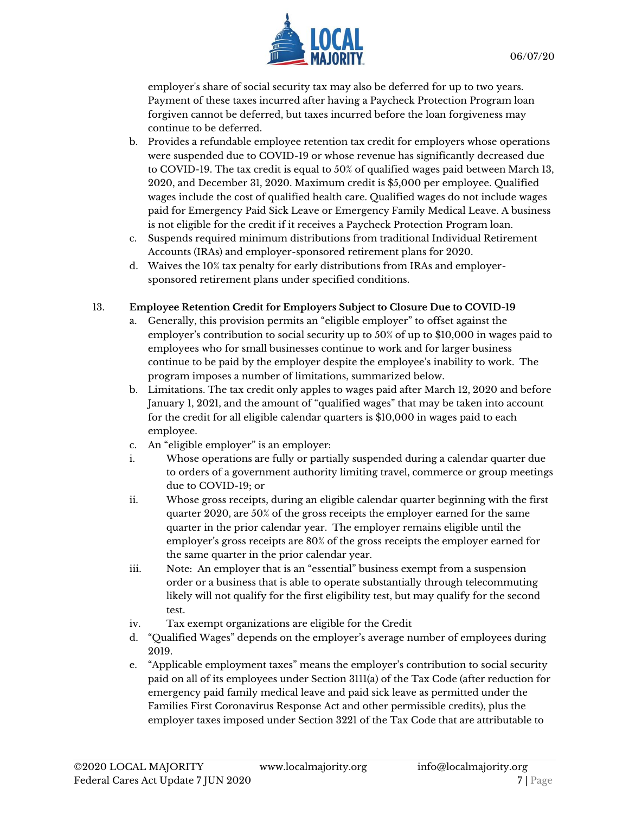

employer's share of social security tax may also be deferred for up to two years. Payment of these taxes incurred after having a Paycheck Protection Program loan forgiven cannot be deferred, but taxes incurred before the loan forgiveness may continue to be deferred.

- b. Provides a refundable employee retention tax credit for employers whose operations were suspended due to COVID-19 or whose revenue has significantly decreased due to COVID-19. The tax credit is equal to 50% of qualified wages paid between March 13, 2020, and December 31, 2020. Maximum credit is \$5,000 per employee. Qualified wages include the cost of qualified health care. Qualified wages do not include wages paid for Emergency Paid Sick Leave or Emergency Family Medical Leave. A business is not eligible for the credit if it receives a Paycheck Protection Program loan.
- c. Suspends required minimum distributions from traditional Individual Retirement Accounts (IRAs) and employer-sponsored retirement plans for 2020.
- d. Waives the 10% tax penalty for early distributions from IRAs and employersponsored retirement plans under specified conditions.

### 13. **Employee Retention Credit for Employers Subject to Closure Due to COVID-19**

- a. Generally, this provision permits an "eligible employer" to offset against the employer's contribution to social security up to 50% of up to \$10,000 in wages paid to employees who for small businesses continue to work and for larger business continue to be paid by the employer despite the employee's inability to work. The program imposes a number of limitations, summarized below.
- b. Limitations. The tax credit only apples to wages paid after March 12, 2020 and before January 1, 2021, and the amount of "qualified wages" that may be taken into account for the credit for all eligible calendar quarters is \$10,000 in wages paid to each employee.
- c. An "eligible employer" is an employer:
- i. Whose operations are fully or partially suspended during a calendar quarter due to orders of a government authority limiting travel, commerce or group meetings due to COVID-19; or
- ii. Whose gross receipts, during an eligible calendar quarter beginning with the first quarter 2020, are 50% of the gross receipts the employer earned for the same quarter in the prior calendar year. The employer remains eligible until the employer's gross receipts are 80% of the gross receipts the employer earned for the same quarter in the prior calendar year.
- iii. Note: An employer that is an "essential" business exempt from a suspension order or a business that is able to operate substantially through telecommuting likely will not qualify for the first eligibility test, but may qualify for the second test.
- iv. Tax exempt organizations are eligible for the Credit
- d. "Qualified Wages" depends on the employer's average number of employees during 2019.
- e. "Applicable employment taxes" means the employer's contribution to social security paid on all of its employees under Section 3111(a) of the Tax Code (after reduction for emergency paid family medical leave and paid sick leave as permitted under the Families First Coronavirus Response Act and other permissible credits), plus the employer taxes imposed under Section 3221 of the Tax Code that are attributable to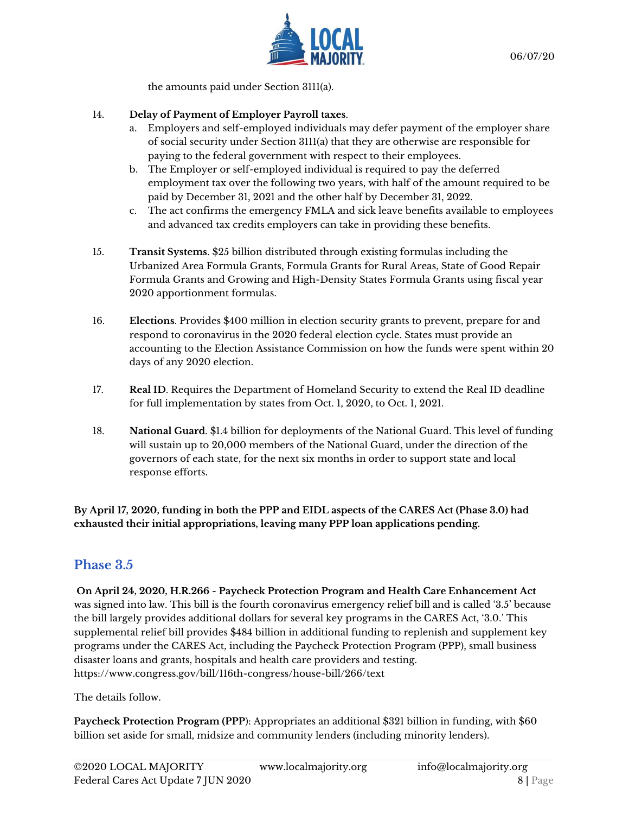

the amounts paid under Section 3111(a).

## 14. **Delay of Payment of Employer Payroll taxes**.

- a. Employers and self-employed individuals may defer payment of the employer share of social security under Section 3111(a) that they are otherwise are responsible for paying to the federal government with respect to their employees.
- b. The Employer or self-employed individual is required to pay the deferred employment tax over the following two years, with half of the amount required to be paid by December 31, 2021 and the other half by December 31, 2022.
- c. The act confirms the emergency FMLA and sick leave benefits available to employees and advanced tax credits employers can take in providing these benefits.
- 15. **Transit Systems**. \$25 billion distributed through existing formulas including the Urbanized Area Formula Grants, Formula Grants for Rural Areas, State of Good Repair Formula Grants and Growing and High-Density States Formula Grants using fiscal year 2020 apportionment formulas.
- 16. **Elections**. Provides \$400 million in election security grants to prevent, prepare for and respond to coronavirus in the 2020 federal election cycle. States must provide an accounting to the Election Assistance Commission on how the funds were spent within 20 days of any 2020 election.
- 17. **Real ID**. Requires the Department of Homeland Security to extend the Real ID deadline for full implementation by states from Oct. 1, 2020, to Oct. 1, 2021.
- 18. **National Guard**. \$1.4 billion for deployments of the National Guard. This level of funding will sustain up to 20,000 members of the National Guard, under the direction of the governors of each state, for the next six months in order to support state and local response efforts.

**By April 17, 2020, funding in both the PPP and EIDL aspects of the CARES Act (Phase 3.0) had exhausted their initial appropriations, leaving many PPP loan applications pending.** 

# **Phase 3.5**

**On April 24, 2020, H.R.266 - Paycheck Protection Program and Health Care Enhancement Act** was signed into law. This bill is the fourth coronavirus emergency relief bill and is called '3.5' because the bill largely provides additional dollars for several key programs in the CARES Act, '3.0.' This supplemental relief bill provides \$484 billion in additional funding to replenish and supplement key programs under the CARES Act, including the Paycheck Protection Program (PPP), small business disaster loans and grants, hospitals and health care providers and testing. https://www.congress.gov/bill/116th-congress/house-bill/266/text

The details follow.

**Paycheck Protection Program (PPP**): Appropriates an additional \$321 billion in funding, with \$60 billion set aside for small, midsize and community lenders (including minority lenders).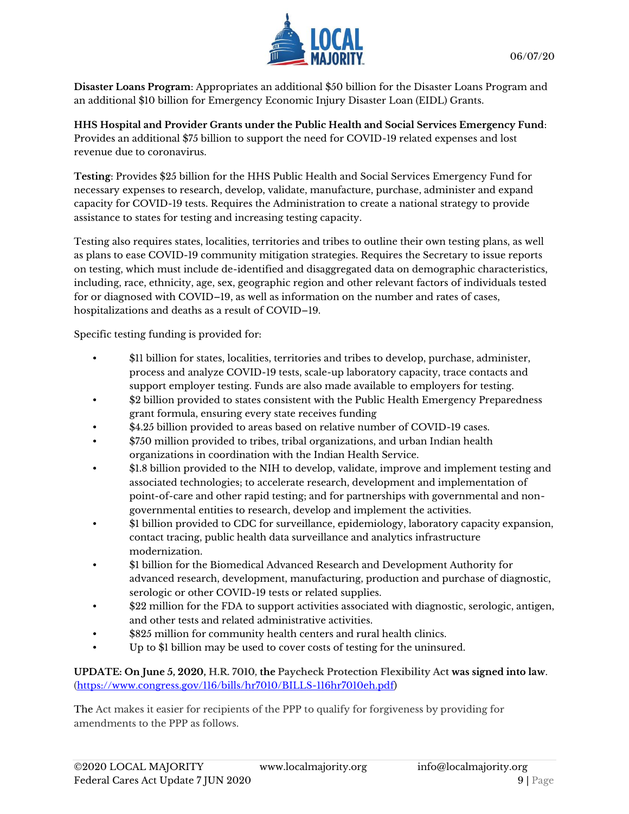

**Disaster Loans Program**: Appropriates an additional \$50 billion for the Disaster Loans Program and an additional \$10 billion for Emergency Economic Injury Disaster Loan (EIDL) Grants.

**HHS Hospital and Provider Grants under the Public Health and Social Services Emergency Fund**: Provides an additional \$75 billion to support the need for COVID-19 related expenses and lost revenue due to coronavirus.

**Testing**: Provides \$25 billion for the HHS Public Health and Social Services Emergency Fund for necessary expenses to research, develop, validate, manufacture, purchase, administer and expand capacity for COVID-19 tests. Requires the Administration to create a national strategy to provide assistance to states for testing and increasing testing capacity.

Testing also requires states, localities, territories and tribes to outline their own testing plans, as well as plans to ease COVID-19 community mitigation strategies. Requires the Secretary to issue reports on testing, which must include de-identified and disaggregated data on demographic characteristics, including, race, ethnicity, age, sex, geographic region and other relevant factors of individuals tested for or diagnosed with COVID–19, as well as information on the number and rates of cases, hospitalizations and deaths as a result of COVID–19.

Specific testing funding is provided for:

- \$11 billion for states, localities, territories and tribes to develop, purchase, administer, process and analyze COVID-19 tests, scale-up laboratory capacity, trace contacts and support employer testing. Funds are also made available to employers for testing.
- \$2 billion provided to states consistent with the Public Health Emergency Preparedness grant formula, ensuring every state receives funding
- \$4.25 billion provided to areas based on relative number of COVID-19 cases.
- \$750 million provided to tribes, tribal organizations, and urban Indian health organizations in coordination with the Indian Health Service.
- \$1.8 billion provided to the NIH to develop, validate, improve and implement testing and associated technologies; to accelerate research, development and implementation of point-of-care and other rapid testing; and for partnerships with governmental and nongovernmental entities to research, develop and implement the activities.
- \$1 billion provided to CDC for surveillance, epidemiology, laboratory capacity expansion, contact tracing, public health data surveillance and analytics infrastructure modernization.
- \$1 billion for the Biomedical Advanced Research and Development Authority for advanced research, development, manufacturing, production and purchase of diagnostic, serologic or other COVID-19 tests or related supplies.
- $$22$  million for the FDA to support activities associated with diagnostic, serologic, antigen, and other tests and related administrative activities.
- \$825 million for community health centers and rural health clinics.
- Up to \$1 billion may be used to cover costs of testing for the uninsured.

**UPDATE: On June 5, 2020, H.R. 7010, the Paycheck Protection Flexibility Act was signed into law**. [\(https://www.congress.gov/116/bills/hr7010/BILLS-116hr7010eh.pdf\)](https://www.congress.gov/116/bills/hr7010/BILLS-116hr7010eh.pdf)

The Act makes it easier for recipients of the PPP to qualify for forgiveness by providing for amendments to the PPP as follows.